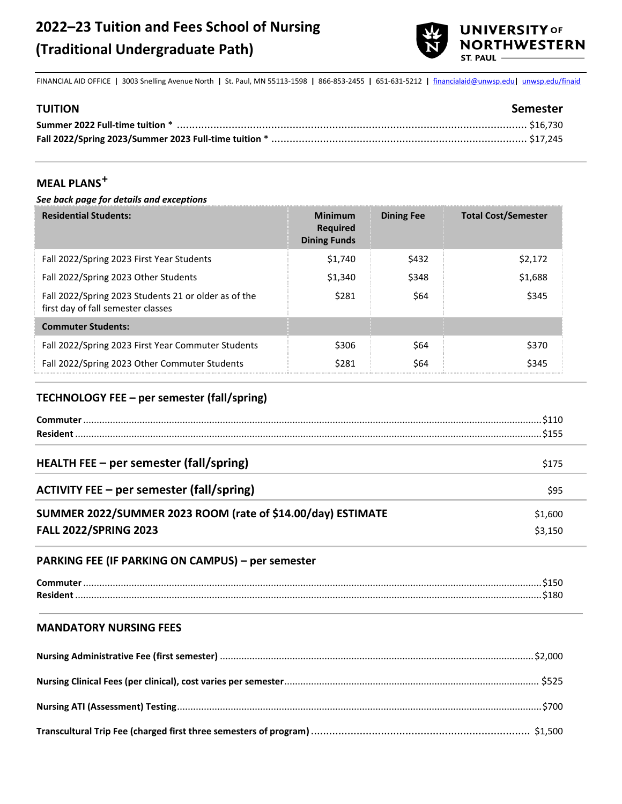

FINANCIAL AID OFFICE **|** 3003 Snelling Avenue North **|** St. Paul, MN 55113-1598 **|** 866-853-2455 **|** 651-631-5212 **|** [financialaid@unwsp.edu](mailto:financialaid@unwsp.edu)**|** [unwsp.edu/finaid](http://unwsp.edu/finaid) **Tr**

| <b>TUITION</b> | Semester |
|----------------|----------|
|                |          |
|                |          |
|                |          |

# **MEAL PLANS✚**

#### *See back page for details and exceptions*

| <b>Residential Students:</b>                                                               | <b>Minimum</b><br><b>Required</b><br><b>Dining Funds</b> | <b>Dining Fee</b> | <b>Total Cost/Semester</b> |
|--------------------------------------------------------------------------------------------|----------------------------------------------------------|-------------------|----------------------------|
| Fall 2022/Spring 2023 First Year Students                                                  | \$1,740                                                  | \$432             | \$2,172                    |
| Fall 2022/Spring 2023 Other Students                                                       | \$1,340                                                  | \$348             | \$1,688                    |
| Fall 2022/Spring 2023 Students 21 or older as of the<br>first day of fall semester classes | \$281                                                    | \$64              | \$345                      |
| <b>Commuter Students:</b>                                                                  |                                                          |                   |                            |
| Fall 2022/Spring 2023 First Year Commuter Students                                         | \$306                                                    | \$64              | \$370                      |
| Fall 2022/Spring 2023 Other Commuter Students                                              | \$281                                                    | S64               | \$345                      |

#### **TECHNOLOGY FEE – per semester (fall/spring)**

|                                                             | .\$155  |
|-------------------------------------------------------------|---------|
| HEALTH FEE - per semester (fall/spring)                     | \$175   |
| <b>ACTIVITY FEE – per semester (fall/spring)</b>            | \$95    |
| SUMMER 2022/SUMMER 2023 ROOM (rate of \$14.00/day) ESTIMATE | \$1,600 |
| <b>FALL 2022/SPRING 2023</b>                                | \$3,150 |

#### **PARKING FEE (IF PARKING ON CAMPUS) – per semester**

| วเ     |
|--------|
| $\sim$ |

#### **MANDATORY NURSING FEES**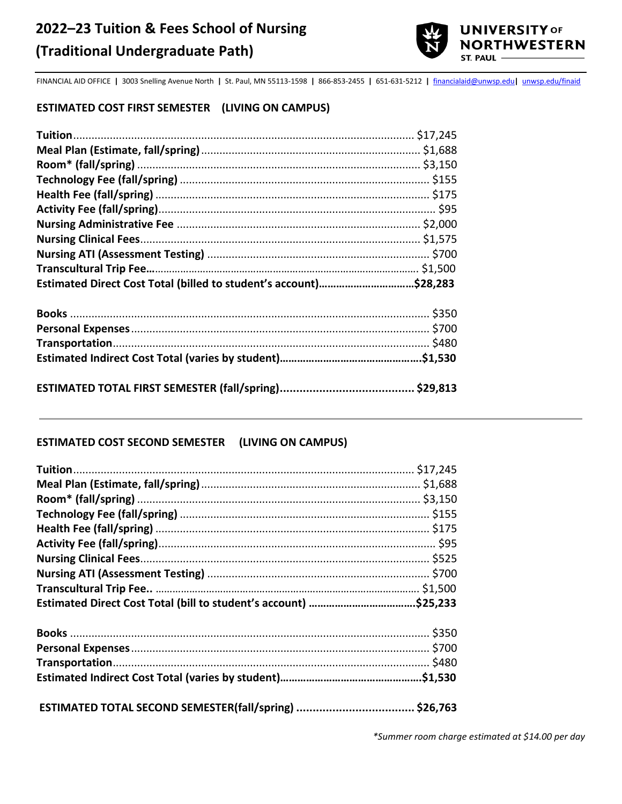

FINANCIAL AID OFFICE **|** 3003 Snelling Avenue North **|** St. Paul, MN 55113-1598 **|** 866-853-2455 **|** 651-631-5212 **|** [financialaid@unwsp.edu](mailto:financialaid@unwsp.edu)**|** [unwsp.edu/finaid](http://unwsp.edu/finaid)

## **ESTIMATED COST FIRST SEMESTER (LIVING ON CAMPUS)**

| Estimated Direct Cost Total (billed to student's account)\$28,283 |  |
|-------------------------------------------------------------------|--|
|                                                                   |  |
|                                                                   |  |
|                                                                   |  |
|                                                                   |  |
|                                                                   |  |

### **ESTIMATED COST SECOND SEMESTER (LIVING ON CAMPUS)**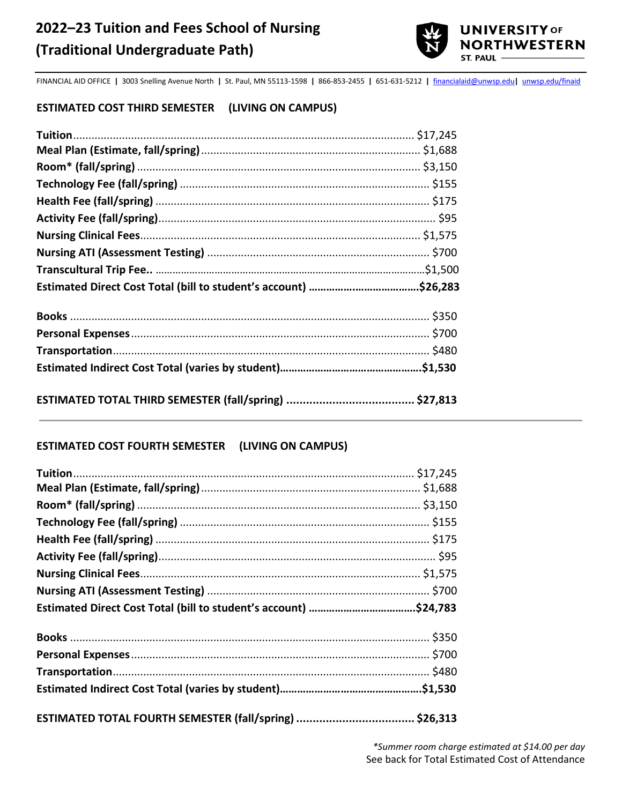

FINANCIAL AID OFFICE **|** 3003 Snelling Avenue North **|** St. Paul, MN 55113-1598 **|** 866-853-2455 **|** 651-631-5212 **|** [financialaid@unwsp.edu](mailto:financialaid@unwsp.edu)**|** [unwsp.edu/finaid](http://unwsp.edu/finaid)

# **ESTIMATED COST THIRD SEMESTER (LIVING ON CAMPUS)**

#### **ESTIMATED COST FOURTH SEMESTER (LIVING ON CAMPUS)**